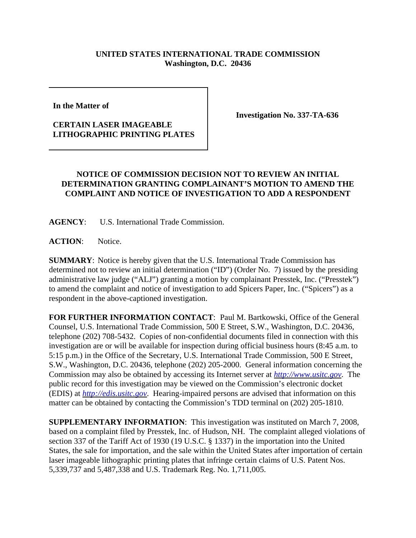## **UNITED STATES INTERNATIONAL TRADE COMMISSION Washington, D.C. 20436**

**In the Matter of** 

## **CERTAIN LASER IMAGEABLE LITHOGRAPHIC PRINTING PLATES**

**Investigation No. 337-TA-636**

## **NOTICE OF COMMISSION DECISION NOT TO REVIEW AN INITIAL DETERMINATION GRANTING COMPLAINANT'S MOTION TO AMEND THE COMPLAINT AND NOTICE OF INVESTIGATION TO ADD A RESPONDENT**

**AGENCY**: U.S. International Trade Commission.

ACTION: Notice.

**SUMMARY**: Notice is hereby given that the U.S. International Trade Commission has determined not to review an initial determination ("ID") (Order No. 7) issued by the presiding administrative law judge ("ALJ") granting a motion by complainant Presstek, Inc. ("Presstek") to amend the complaint and notice of investigation to add Spicers Paper, Inc. ("Spicers") as a respondent in the above-captioned investigation.

**FOR FURTHER INFORMATION CONTACT**: Paul M. Bartkowski, Office of the General Counsel, U.S. International Trade Commission, 500 E Street, S.W., Washington, D.C. 20436, telephone (202) 708-5432. Copies of non-confidential documents filed in connection with this investigation are or will be available for inspection during official business hours (8:45 a.m. to 5:15 p.m.) in the Office of the Secretary, U.S. International Trade Commission, 500 E Street, S.W., Washington, D.C. 20436, telephone (202) 205-2000. General information concerning the Commission may also be obtained by accessing its Internet server at *http://www.usitc.gov*. The public record for this investigation may be viewed on the Commission's electronic docket (EDIS) at *http://edis.usitc.gov*. Hearing-impaired persons are advised that information on this matter can be obtained by contacting the Commission's TDD terminal on (202) 205-1810.

**SUPPLEMENTARY INFORMATION**: This investigation was instituted on March 7, 2008, based on a complaint filed by Presstek, Inc. of Hudson, NH. The complaint alleged violations of section 337 of the Tariff Act of 1930 (19 U.S.C. § 1337) in the importation into the United States, the sale for importation, and the sale within the United States after importation of certain laser imageable lithographic printing plates that infringe certain claims of U.S. Patent Nos. 5,339,737 and 5,487,338 and U.S. Trademark Reg. No. 1,711,005.